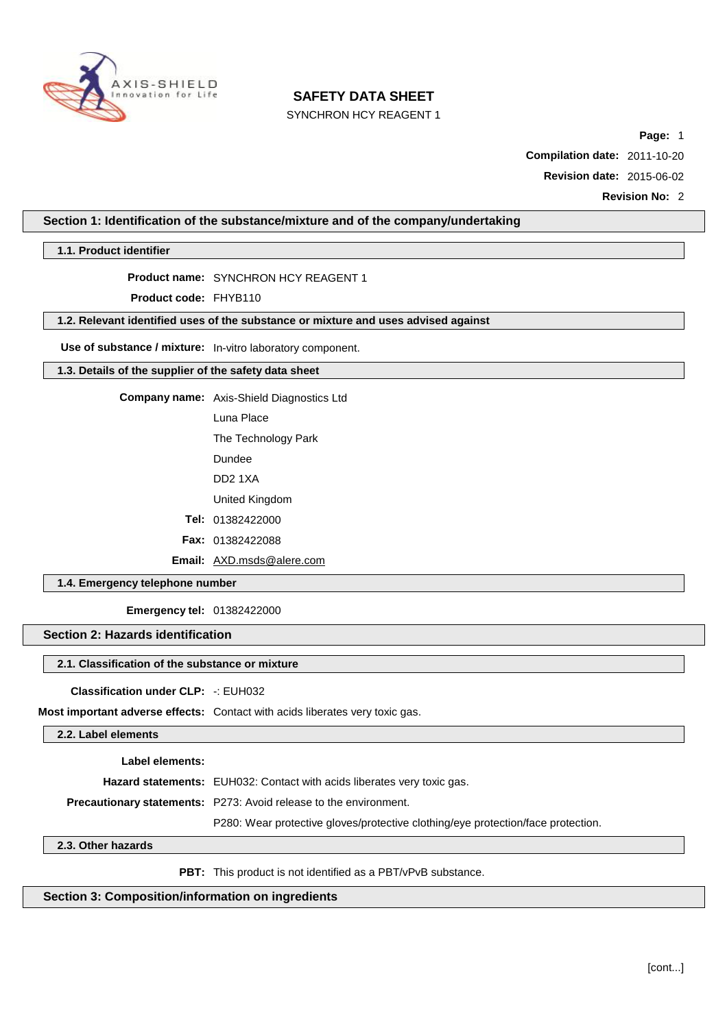

SYNCHRON HCY REAGENT 1

**Page:** 1

**Compilation date:** 2011-10-20

**Revision date:** 2015-06-02

**Revision No:** 2

## **Section 1: Identification of the substance/mixture and of the company/undertaking**

**1.1. Product identifier**

#### **Product name:** SYNCHRON HCY REAGENT 1

**Product code:** FHYB110

## **1.2. Relevant identified uses of the substance or mixture and uses advised against**

**Use of substance / mixture:** In-vitro laboratory component.

#### **1.3. Details of the supplier of the safety data sheet**

**Company name:** Axis-Shield Diagnostics Ltd

Luna Place

The Technology Park

Dundee

DD2 1XA

United Kingdom

**Tel:** 01382422000

**Fax:** 01382422088

**Email:** [AXD.msds@alere.com](mailto:AXD.msds@alere.com)

**1.4. Emergency telephone number**

**Emergency tel:** 01382422000

## **Section 2: Hazards identification**

#### **2.1. Classification of the substance or mixture**

**Classification under CLP:** -: EUH032

**Most important adverse effects:** Contact with acids liberates very toxic gas.

**2.2. Label elements**

**Label elements:**

**Hazard statements:** EUH032: Contact with acids liberates very toxic gas.

**Precautionary statements:** P273: Avoid release to the environment.

P280: Wear protective gloves/protective clothing/eye protection/face protection.

#### **2.3. Other hazards**

PBT: This product is not identified as a PBT/vPvB substance.

**Section 3: Composition/information on ingredients**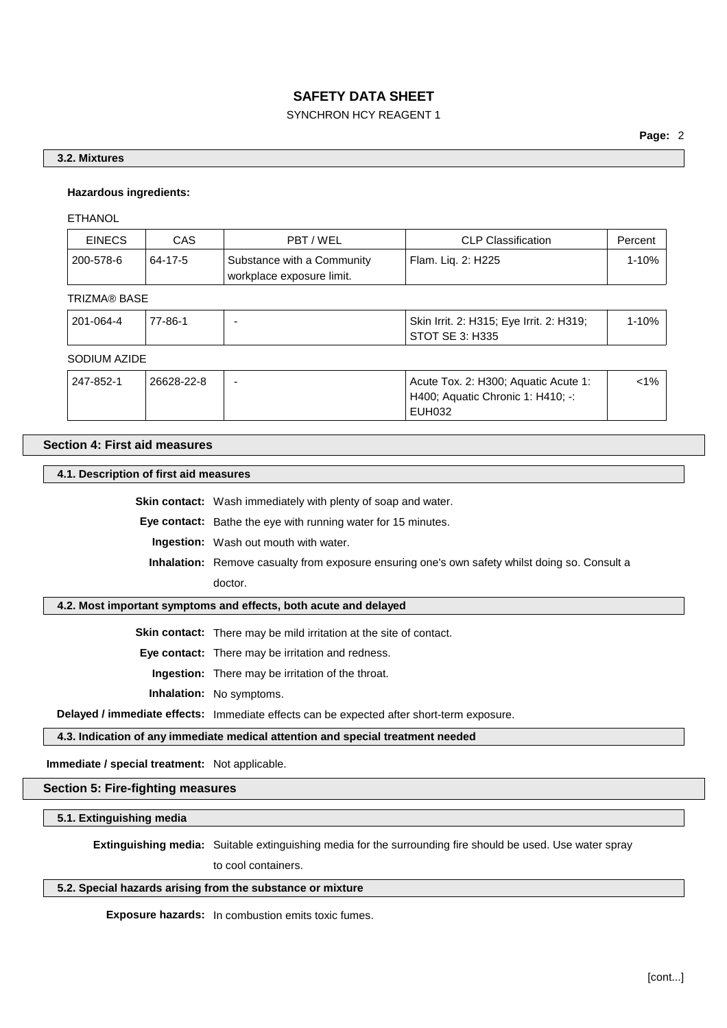## SYNCHRON HCY REAGENT 1

### **3.2. Mixtures**

#### **Hazardous ingredients:**

ETHANOL

| <b>EINECS</b> | CAS     | PBT/WEL                                                 | <b>CLP Classification</b>       | Percent |
|---------------|---------|---------------------------------------------------------|---------------------------------|---------|
| 200-578-6     | 64-17-5 | Substance with a Community<br>workplace exposure limit. | <sup>1</sup> Flam. Liq. 2: H225 | 1-10%   |

#### TRIZMA® BASE

| 201-064-4 | 77-86-1 | Skin Irrit. 2: H315; Eye Irrit. 2: H319;<br>STOT SE 3: H335 | 1-10% |
|-----------|---------|-------------------------------------------------------------|-------|
|           |         |                                                             |       |

## SODIUM AZIDE

| 247-852-1 | 26628-22-8 | Acute Tox. 2: H300; Aquatic Acute 1: | <1% |
|-----------|------------|--------------------------------------|-----|
|           |            | H400; Aquatic Chronic 1: H410; -:    |     |
|           |            | EUH032                               |     |

#### **Section 4: First aid measures**

**4.1. Description of first aid measures**

**Skin contact:** Wash immediately with plenty of soap and water.

**Eye contact:** Bathe the eye with running water for 15 minutes.

**Ingestion:** Wash out mouth with water.

**Inhalation:** Remove casualty from exposure ensuring one's own safety whilst doing so. Consult a doctor.

#### **4.2. Most important symptoms and effects, both acute and delayed**

**Skin contact:** There may be mild irritation at the site of contact.

**Eye contact:** There may be irritation and redness.

**Ingestion:** There may be irritation of the throat.

**Inhalation:** No symptoms.

**Delayed / immediate effects:** Immediate effects can be expected after short-term exposure.

**4.3. Indication of any immediate medical attention and special treatment needed**

**Immediate / special treatment:** Not applicable.

## **Section 5: Fire-fighting measures**

#### **5.1. Extinguishing media**

**Extinguishing media:** Suitable extinguishing media for the surrounding fire should be used. Use water spray

to cool containers.

## **5.2. Special hazards arising from the substance or mixture**

**Exposure hazards:** In combustion emits toxic fumes.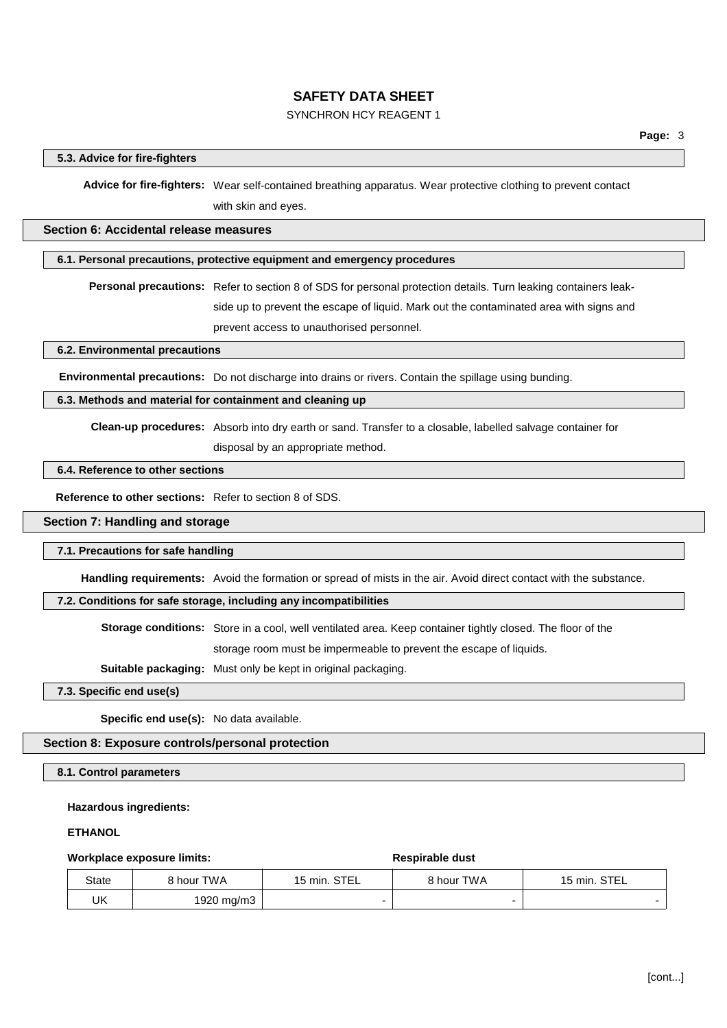## SYNCHRON HCY REAGENT 1

## **5.3. Advice for fire-fighters**

**Advice for fire-fighters:** Wear self-contained breathing apparatus. Wear protective clothing to prevent contact with skin and eyes.

#### **Section 6: Accidental release measures**

#### **6.1. Personal precautions, protective equipment and emergency procedures**

**Personal precautions:** Refer to section 8 of SDS for personal protection details. Turn leaking containers leakside up to prevent the escape of liquid. Mark out the contaminated area with signs and prevent access to unauthorised personnel.

**6.2. Environmental precautions**

**Environmental precautions:** Do not discharge into drains or rivers. Contain the spillage using bunding.

#### **6.3. Methods and material for containment and cleaning up**

**Clean-up procedures:** Absorb into dry earth or sand. Transfer to a closable, labelled salvage container for

disposal by an appropriate method.

## **6.4. Reference to other sections**

**Reference to other sections:** Refer to section 8 of SDS.

#### **Section 7: Handling and storage**

#### **7.1. Precautions for safe handling**

**Handling requirements:** Avoid the formation or spread of mists in the air. Avoid direct contact with the substance.

#### **7.2. Conditions for safe storage, including any incompatibilities**

**Storage conditions:** Store in a cool, well ventilated area. Keep container tightly closed. The floor of the storage room must be impermeable to prevent the escape of liquids.

**Suitable packaging:** Must only be kept in original packaging.

#### **7.3. Specific end use(s)**

**Specific end use(s):** No data available.

## **Section 8: Exposure controls/personal protection**

### **8.1. Control parameters**

#### **Hazardous ingredients:**

#### **ETHANOL**

#### **Workplace exposure limits: Respirable** dust

| State | 8 hour TWA | 15 min. STEL | 8 hour TWA | 15 min. STEL |
|-------|------------|--------------|------------|--------------|
| UK    | 1920 mg/m3 |              |            |              |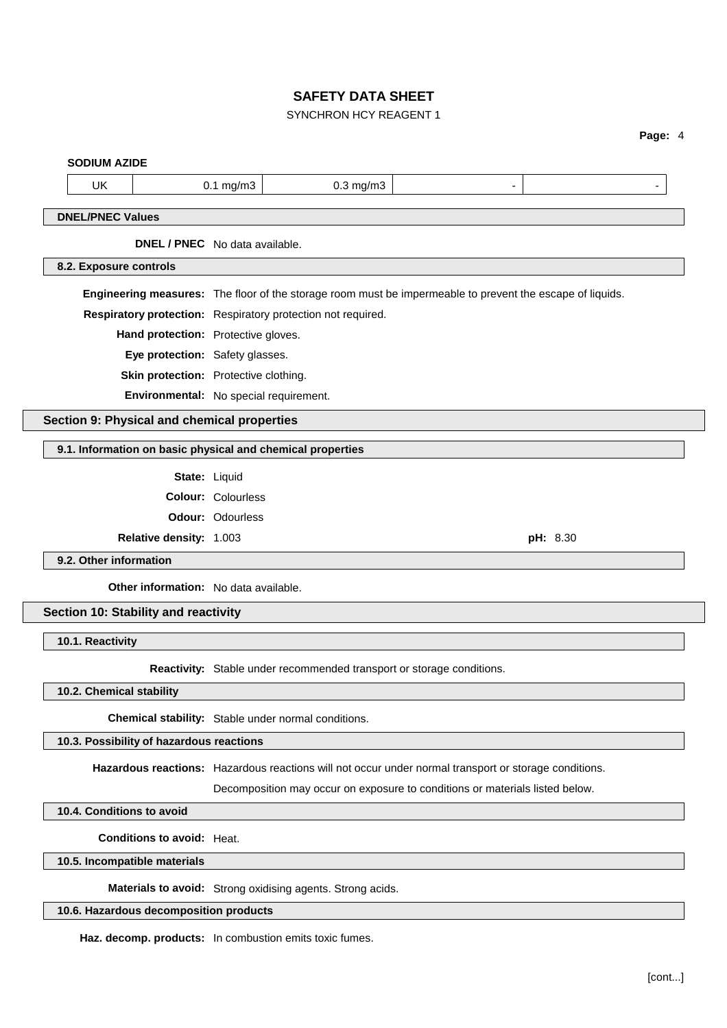## SYNCHRON HCY REAGENT 1

## **Page:** 4

|                                            | <b>SODIUM AZIDE</b>       |                                              |                           |                                                                                                           |                |  |
|--------------------------------------------|---------------------------|----------------------------------------------|---------------------------|-----------------------------------------------------------------------------------------------------------|----------------|--|
|                                            | <b>UK</b>                 |                                              | $0.1$ mg/m $3$            | $0.3$ mg/m $3$                                                                                            | $\overline{a}$ |  |
|                                            |                           |                                              |                           |                                                                                                           |                |  |
|                                            | <b>DNEL/PNEC Values</b>   |                                              |                           |                                                                                                           |                |  |
|                                            |                           | <b>DNEL / PNEC</b> No data available.        |                           |                                                                                                           |                |  |
|                                            | 8.2. Exposure controls    |                                              |                           |                                                                                                           |                |  |
|                                            |                           |                                              |                           | Engineering measures: The floor of the storage room must be impermeable to prevent the escape of liquids. |                |  |
|                                            |                           |                                              |                           | Respiratory protection: Respiratory protection not required.                                              |                |  |
|                                            |                           | Hand protection: Protective gloves.          |                           |                                                                                                           |                |  |
|                                            |                           | Eye protection: Safety glasses.              |                           |                                                                                                           |                |  |
|                                            |                           | Skin protection: Protective clothing.        |                           |                                                                                                           |                |  |
|                                            |                           | Environmental: No special requirement.       |                           |                                                                                                           |                |  |
|                                            |                           | Section 9: Physical and chemical properties  |                           |                                                                                                           |                |  |
|                                            |                           |                                              |                           |                                                                                                           |                |  |
|                                            |                           |                                              |                           | 9.1. Information on basic physical and chemical properties                                                |                |  |
|                                            |                           | State: Liquid                                |                           |                                                                                                           |                |  |
|                                            |                           |                                              | <b>Colour: Colourless</b> |                                                                                                           |                |  |
| <b>Odour: Odourless</b>                    |                           |                                              |                           |                                                                                                           |                |  |
| Relative density: 1.003<br><b>pH:</b> 8.30 |                           |                                              |                           |                                                                                                           |                |  |
|                                            | 9.2. Other information    |                                              |                           |                                                                                                           |                |  |
|                                            |                           |                                              |                           |                                                                                                           |                |  |
|                                            |                           | <b>Other information:</b> No data available. |                           |                                                                                                           |                |  |
|                                            |                           | Section 10: Stability and reactivity         |                           |                                                                                                           |                |  |
|                                            |                           |                                              |                           |                                                                                                           |                |  |
|                                            | 10.1. Reactivity          |                                              |                           |                                                                                                           |                |  |
|                                            |                           |                                              |                           | Reactivity: Stable under recommended transport or storage conditions.                                     |                |  |
|                                            | 10.2. Chemical stability  |                                              |                           |                                                                                                           |                |  |
|                                            |                           |                                              |                           | Chemical stability: Stable under normal conditions.                                                       |                |  |
|                                            |                           | 10.3. Possibility of hazardous reactions     |                           |                                                                                                           |                |  |
|                                            |                           |                                              |                           |                                                                                                           |                |  |
|                                            |                           |                                              |                           | Hazardous reactions: Hazardous reactions will not occur under normal transport or storage conditions.     |                |  |
|                                            |                           |                                              |                           | Decomposition may occur on exposure to conditions or materials listed below.                              |                |  |
|                                            | 10.4. Conditions to avoid | <b>Conditions to avoid: Heat.</b>            |                           |                                                                                                           |                |  |

**10.5. Incompatible materials**

**Materials to avoid:** Strong oxidising agents. Strong acids.

**10.6. Hazardous decomposition products**

**Haz. decomp. products:** In combustion emits toxic fumes.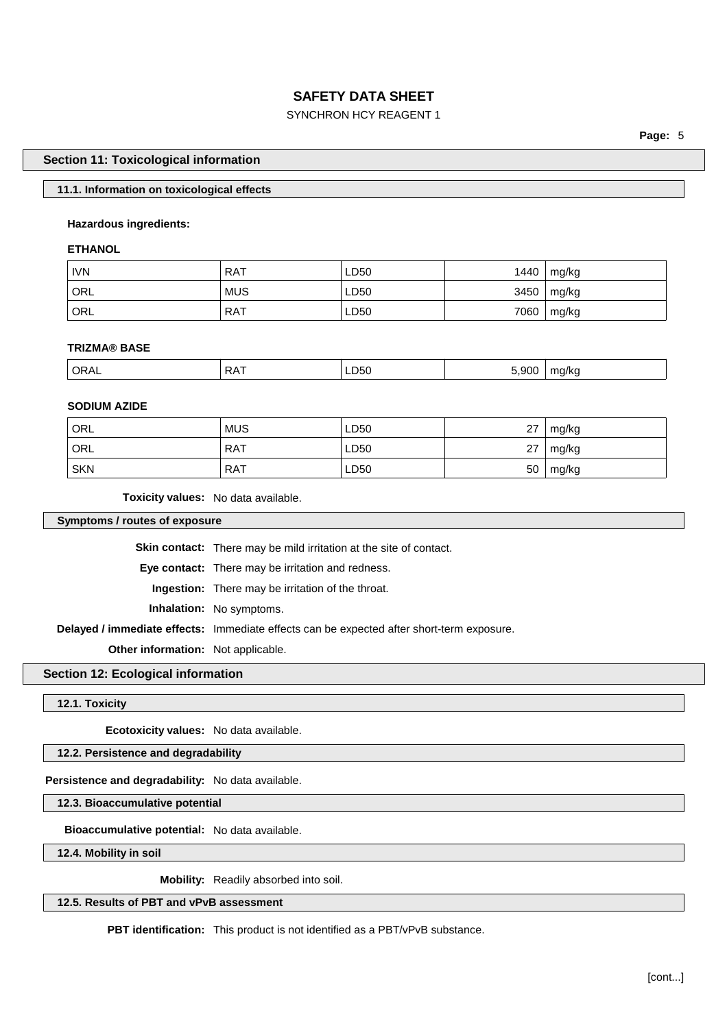## SYNCHRON HCY REAGENT 1

**Page:** 5

### **Section 11: Toxicological information**

### **11.1. Information on toxicological effects**

#### **Hazardous ingredients:**

#### **ETHANOL**

| <b>IVN</b> | <b>RAT</b> | LD50 | 1440 | mg/kg |
|------------|------------|------|------|-------|
| ' ORL      | <b>MUS</b> | LD50 | 3450 | mg/kg |
| ' ORL      | <b>RAT</b> | LD50 | 7060 | mg/kg |

#### **TRIZMA® BASE**

| ORAL | RAT | LD50<br>__ | ാററ | ma/ka |
|------|-----|------------|-----|-------|
|      |     |            |     |       |

### **SODIUM AZIDE**

| ORL        | <b>MUS</b> | LD50 | 27 | mg/kg |
|------------|------------|------|----|-------|
| ORL        | <b>RAT</b> | LD50 | 27 | mg/kg |
| <b>SKN</b> | <b>RAT</b> | LD50 | 50 | mg/kg |

**Toxicity values:** No data available.

**Symptoms / routes of exposure**

**Skin contact:** There may be mild irritation at the site of contact.

**Eye contact:** There may be irritation and redness.

**Ingestion:** There may be irritation of the throat.

**Inhalation:** No symptoms.

**Delayed / immediate effects:** Immediate effects can be expected after short-term exposure.

**Other information:** Not applicable.

# **Section 12: Ecological information**

**12.1. Toxicity**

**Ecotoxicity values:** No data available.

## **12.2. Persistence and degradability**

#### **Persistence and degradability:** No data available.

**12.3. Bioaccumulative potential**

**Bioaccumulative potential:** No data available.

**12.4. Mobility in soil**

**Mobility:** Readily absorbed into soil.

## **12.5. Results of PBT and vPvB assessment**

**PBT identification:** This product is not identified as a PBT/vPvB substance.